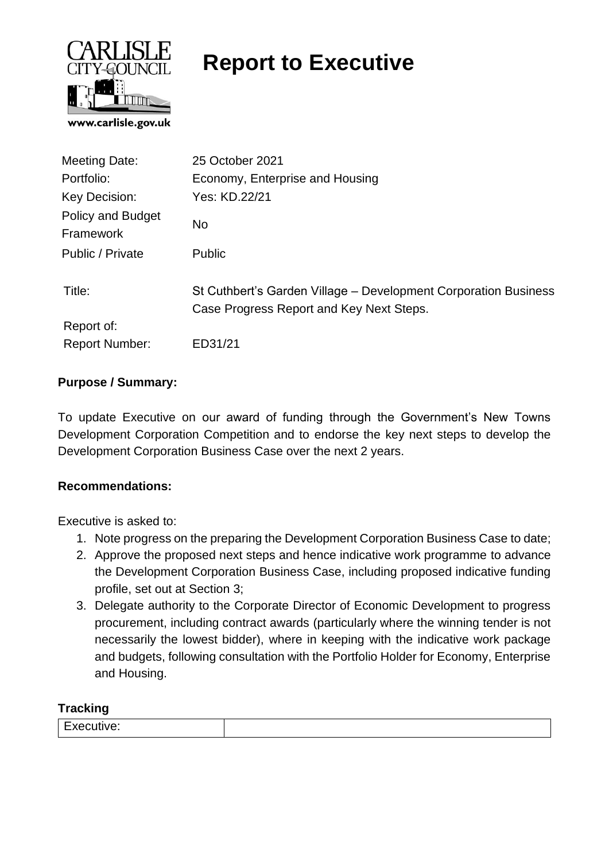

# **Report to Executive**

| Meeting Date:                  | 25 October 2021                                                                                             |
|--------------------------------|-------------------------------------------------------------------------------------------------------------|
| Portfolio:                     | Economy, Enterprise and Housing                                                                             |
| Key Decision:                  | Yes: KD.22/21                                                                                               |
| Policy and Budget<br>Framework | No                                                                                                          |
| Public / Private               | <b>Public</b>                                                                                               |
| Title:                         | St Cuthbert's Garden Village - Development Corporation Business<br>Case Progress Report and Key Next Steps. |
| Report of:                     |                                                                                                             |
| <b>Report Number:</b>          | ED31/21                                                                                                     |

#### **Purpose / Summary:**

To update Executive on our award of funding through the Government's New Towns Development Corporation Competition and to endorse the key next steps to develop the Development Corporation Business Case over the next 2 years.

#### **Recommendations:**

Executive is asked to:

- 1. Note progress on the preparing the Development Corporation Business Case to date;
- 2. Approve the proposed next steps and hence indicative work programme to advance the Development Corporation Business Case, including proposed indicative funding profile, set out at Section 3;
- 3. Delegate authority to the Corporate Director of Economic Development to progress procurement, including contract awards (particularly where the winning tender is not necessarily the lowest bidder), where in keeping with the indicative work package and budgets, following consultation with the Portfolio Holder for Economy, Enterprise and Housing.

#### **Tracking**

| __<br>$\overline{\phantom{a}}$<br>$\overline{\phantom{a}}$<br>™uve.<br><br>_<br>$\sim$<br>. |
|---------------------------------------------------------------------------------------------|
|---------------------------------------------------------------------------------------------|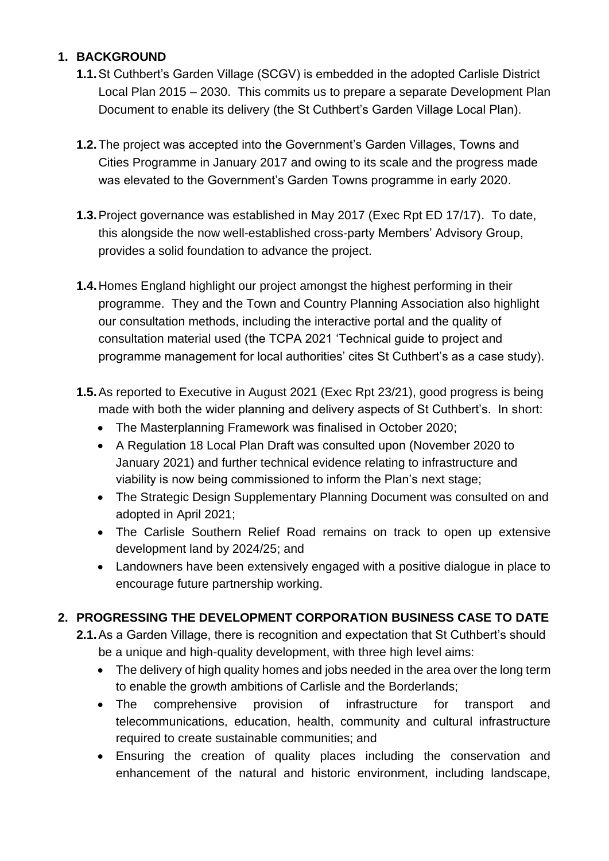## **1. BACKGROUND**

- **1.1.**St Cuthbert's Garden Village (SCGV) is embedded in the adopted Carlisle District Local Plan 2015 – 2030. This commits us to prepare a separate Development Plan Document to enable its delivery (the St Cuthbert's Garden Village Local Plan).
- **1.2.**The project was accepted into the Government's Garden Villages, Towns and Cities Programme in January 2017 and owing to its scale and the progress made was elevated to the Government's Garden Towns programme in early 2020.
- **1.3.**Project governance was established in May 2017 (Exec Rpt ED 17/17). To date, this alongside the now well-established cross-party Members' Advisory Group, provides a solid foundation to advance the project.
- **1.4.**Homes England highlight our project amongst the highest performing in their programme. They and the Town and Country Planning Association also highlight our consultation methods, including the interactive portal and the quality of consultation material used (the TCPA 2021 'Technical guide to project and programme management for local authorities' cites St Cuthbert's as a case study).
- **1.5.**As reported to Executive in August 2021 (Exec Rpt 23/21), good progress is being made with both the wider planning and delivery aspects of St Cuthbert's. In short:
	- The Masterplanning Framework was finalised in October 2020;
	- A Regulation 18 Local Plan Draft was consulted upon (November 2020 to January 2021) and further technical evidence relating to infrastructure and viability is now being commissioned to inform the Plan's next stage;
	- The Strategic Design Supplementary Planning Document was consulted on and adopted in April 2021;
	- The Carlisle Southern Relief Road remains on track to open up extensive development land by 2024/25; and
	- Landowners have been extensively engaged with a positive dialogue in place to encourage future partnership working.

## **2. PROGRESSING THE DEVELOPMENT CORPORATION BUSINESS CASE TO DATE**

- **2.1.**As a Garden Village, there is recognition and expectation that St Cuthbert's should be a unique and high-quality development, with three high level aims:
	- The delivery of high quality homes and jobs needed in the area over the long term to enable the growth ambitions of Carlisle and the Borderlands;
	- The comprehensive provision of infrastructure for transport and telecommunications, education, health, community and cultural infrastructure required to create sustainable communities; and
	- Ensuring the creation of quality places including the conservation and enhancement of the natural and historic environment, including landscape,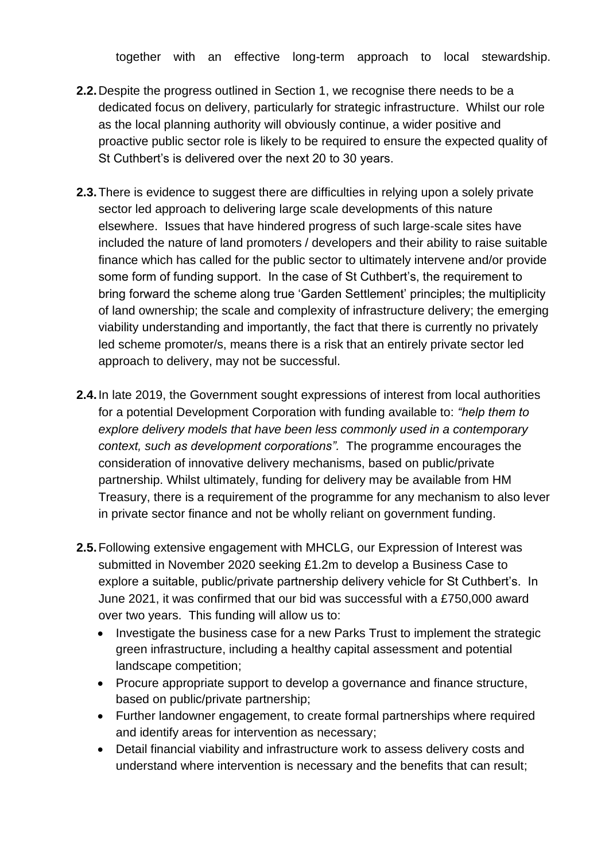together with an effective long-term approach to local stewardship.

- **2.2.**Despite the progress outlined in Section 1, we recognise there needs to be a dedicated focus on delivery, particularly for strategic infrastructure. Whilst our role as the local planning authority will obviously continue, a wider positive and proactive public sector role is likely to be required to ensure the expected quality of St Cuthbert's is delivered over the next 20 to 30 years.
- **2.3.**There is evidence to suggest there are difficulties in relying upon a solely private sector led approach to delivering large scale developments of this nature elsewhere. Issues that have hindered progress of such large-scale sites have included the nature of land promoters / developers and their ability to raise suitable finance which has called for the public sector to ultimately intervene and/or provide some form of funding support. In the case of St Cuthbert's, the requirement to bring forward the scheme along true 'Garden Settlement' principles; the multiplicity of land ownership; the scale and complexity of infrastructure delivery; the emerging viability understanding and importantly, the fact that there is currently no privately led scheme promoter/s, means there is a risk that an entirely private sector led approach to delivery, may not be successful.
- **2.4.**In late 2019, the Government sought expressions of interest from local authorities for a potential Development Corporation with funding available to: *"help them to explore delivery models that have been less commonly used in a contemporary context, such as development corporations".* The programme encourages the consideration of innovative delivery mechanisms, based on public/private partnership. Whilst ultimately, funding for delivery may be available from HM Treasury, there is a requirement of the programme for any mechanism to also lever in private sector finance and not be wholly reliant on government funding.
- **2.5.**Following extensive engagement with MHCLG, our Expression of Interest was submitted in November 2020 seeking £1.2m to develop a Business Case to explore a suitable, public/private partnership delivery vehicle for St Cuthbert's. In June 2021, it was confirmed that our bid was successful with a £750,000 award over two years. This funding will allow us to:
	- Investigate the business case for a new Parks Trust to implement the strategic green infrastructure, including a healthy capital assessment and potential landscape competition;
	- Procure appropriate support to develop a governance and finance structure, based on public/private partnership;
	- Further landowner engagement, to create formal partnerships where required and identify areas for intervention as necessary;
	- Detail financial viability and infrastructure work to assess delivery costs and understand where intervention is necessary and the benefits that can result;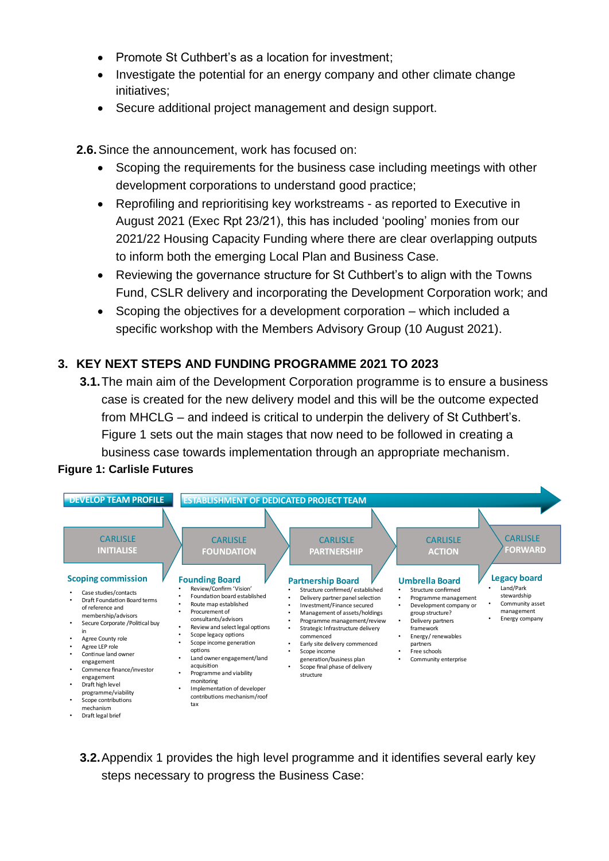- Promote St Cuthbert's as a location for investment:
- Investigate the potential for an energy company and other climate change initiatives;
- Secure additional project management and design support.

**2.6.**Since the announcement, work has focused on:

- Scoping the requirements for the business case including meetings with other development corporations to understand good practice;
- Reprofiling and reprioritising key workstreams as reported to Executive in August 2021 (Exec Rpt 23/21), this has included 'pooling' monies from our 2021/22 Housing Capacity Funding where there are clear overlapping outputs to inform both the emerging Local Plan and Business Case.
- Reviewing the governance structure for St Cuthbert's to align with the Towns Fund, CSLR delivery and incorporating the Development Corporation work; and
- Scoping the objectives for a development corporation which included a specific workshop with the Members Advisory Group (10 August 2021).

### **3. KEY NEXT STEPS AND FUNDING PROGRAMME 2021 TO 2023**

**3.1.**The main aim of the Development Corporation programme is to ensure a business case is created for the new delivery model and this will be the outcome expected from MHCLG – and indeed is critical to underpin the delivery of St Cuthbert's. Figure 1 sets out the main stages that now need to be followed in creating a business case towards implementation through an appropriate mechanism.

## **Figure 1: Carlisle Futures**



**3.2.**Appendix 1 provides the high level programme and it identifies several early key steps necessary to progress the Business Case: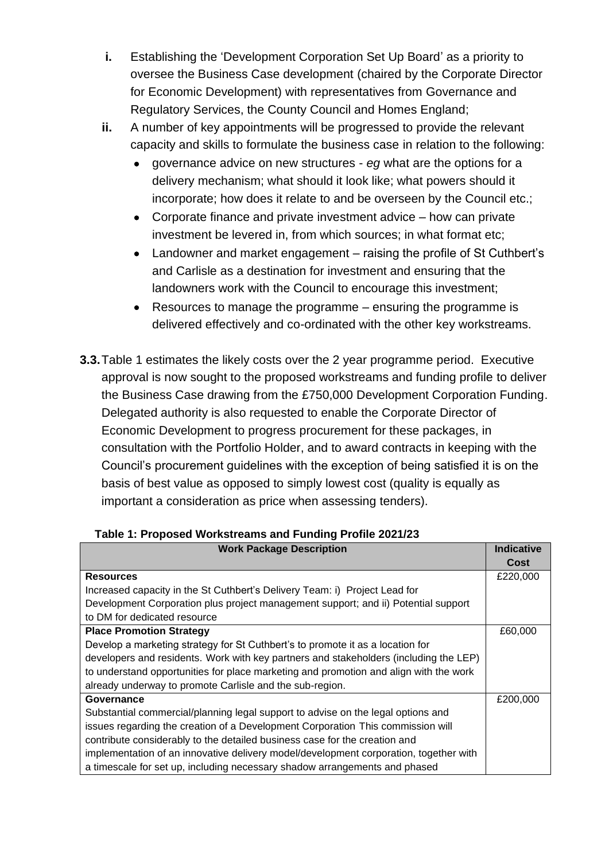- **i.** Establishing the 'Development Corporation Set Up Board' as a priority to oversee the Business Case development (chaired by the Corporate Director for Economic Development) with representatives from Governance and Regulatory Services, the County Council and Homes England;
- **ii.** A number of key appointments will be progressed to provide the relevant capacity and skills to formulate the business case in relation to the following:
	- governance advice on new structures *eg* what are the options for a delivery mechanism; what should it look like; what powers should it incorporate; how does it relate to and be overseen by the Council etc.;
	- Corporate finance and private investment advice how can private investment be levered in, from which sources; in what format etc;
	- Landowner and market engagement raising the profile of St Cuthbert's and Carlisle as a destination for investment and ensuring that the landowners work with the Council to encourage this investment;
	- Resources to manage the programme ensuring the programme is delivered effectively and co-ordinated with the other key workstreams.
- **3.3.**Table 1 estimates the likely costs over the 2 year programme period. Executive approval is now sought to the proposed workstreams and funding profile to deliver the Business Case drawing from the £750,000 Development Corporation Funding. Delegated authority is also requested to enable the Corporate Director of Economic Development to progress procurement for these packages, in consultation with the Portfolio Holder, and to award contracts in keeping with the Council's procurement guidelines with the exception of being satisfied it is on the basis of best value as opposed to simply lowest cost (quality is equally as important a consideration as price when assessing tenders).

| <b>Work Package Description</b>                                                       |          |  |  |  |  |
|---------------------------------------------------------------------------------------|----------|--|--|--|--|
|                                                                                       | Cost     |  |  |  |  |
| <b>Resources</b>                                                                      | £220,000 |  |  |  |  |
| Increased capacity in the St Cuthbert's Delivery Team: i) Project Lead for            |          |  |  |  |  |
| Development Corporation plus project management support; and ii) Potential support    |          |  |  |  |  |
| to DM for dedicated resource                                                          |          |  |  |  |  |
| <b>Place Promotion Strategy</b>                                                       |          |  |  |  |  |
| Develop a marketing strategy for St Cuthbert's to promote it as a location for        |          |  |  |  |  |
| developers and residents. Work with key partners and stakeholders (including the LEP) |          |  |  |  |  |
| to understand opportunities for place marketing and promotion and align with the work |          |  |  |  |  |
| already underway to promote Carlisle and the sub-region.                              |          |  |  |  |  |
| Governance                                                                            | £200,000 |  |  |  |  |
| Substantial commercial/planning legal support to advise on the legal options and      |          |  |  |  |  |
| issues regarding the creation of a Development Corporation This commission will       |          |  |  |  |  |
| contribute considerably to the detailed business case for the creation and            |          |  |  |  |  |
| implementation of an innovative delivery model/development corporation, together with |          |  |  |  |  |
| a timescale for set up, including necessary shadow arrangements and phased            |          |  |  |  |  |

**Table 1: Proposed Workstreams and Funding Profile 2021/23**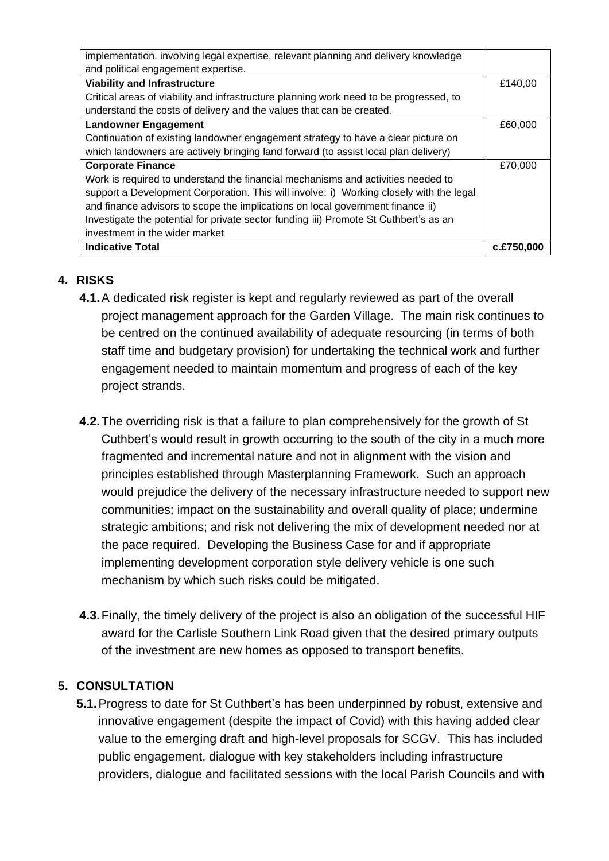| implementation. involving legal expertise, relevant planning and delivery knowledge     |         |  |  |  |  |  |
|-----------------------------------------------------------------------------------------|---------|--|--|--|--|--|
| and political engagement expertise.                                                     |         |  |  |  |  |  |
| <b>Viability and Infrastructure</b>                                                     |         |  |  |  |  |  |
| Critical areas of viability and infrastructure planning work need to be progressed, to  |         |  |  |  |  |  |
| understand the costs of delivery and the values that can be created.                    |         |  |  |  |  |  |
| <b>Landowner Engagement</b>                                                             | £60,000 |  |  |  |  |  |
| Continuation of existing landowner engagement strategy to have a clear picture on       |         |  |  |  |  |  |
| which landowners are actively bringing land forward (to assist local plan delivery)     |         |  |  |  |  |  |
| <b>Corporate Finance</b>                                                                |         |  |  |  |  |  |
| Work is required to understand the financial mechanisms and activities needed to        |         |  |  |  |  |  |
| support a Development Corporation. This will involve: i) Working closely with the legal |         |  |  |  |  |  |
| and finance advisors to scope the implications on local government finance ii)          |         |  |  |  |  |  |
| Investigate the potential for private sector funding iii) Promote St Cuthbert's as an   |         |  |  |  |  |  |
| investment in the wider market                                                          |         |  |  |  |  |  |
| <b>Indicative Total</b>                                                                 |         |  |  |  |  |  |

## **4. RISKS**

- **4.1.**A dedicated risk register is kept and regularly reviewed as part of the overall project management approach for the Garden Village. The main risk continues to be centred on the continued availability of adequate resourcing (in terms of both staff time and budgetary provision) for undertaking the technical work and further engagement needed to maintain momentum and progress of each of the key project strands.
- **4.2.**The overriding risk is that a failure to plan comprehensively for the growth of St Cuthbert's would result in growth occurring to the south of the city in a much more fragmented and incremental nature and not in alignment with the vision and principles established through Masterplanning Framework. Such an approach would prejudice the delivery of the necessary infrastructure needed to support new communities; impact on the sustainability and overall quality of place; undermine strategic ambitions; and risk not delivering the mix of development needed nor at the pace required. Developing the Business Case for and if appropriate implementing development corporation style delivery vehicle is one such mechanism by which such risks could be mitigated.
- **4.3.**Finally, the timely delivery of the project is also an obligation of the successful HIF award for the Carlisle Southern Link Road given that the desired primary outputs of the investment are new homes as opposed to transport benefits.

### **5. CONSULTATION**

**5.1.**Progress to date for St Cuthbert's has been underpinned by robust, extensive and innovative engagement (despite the impact of Covid) with this having added clear value to the emerging draft and high-level proposals for SCGV. This has included public engagement, dialogue with key stakeholders including infrastructure providers, dialogue and facilitated sessions with the local Parish Councils and with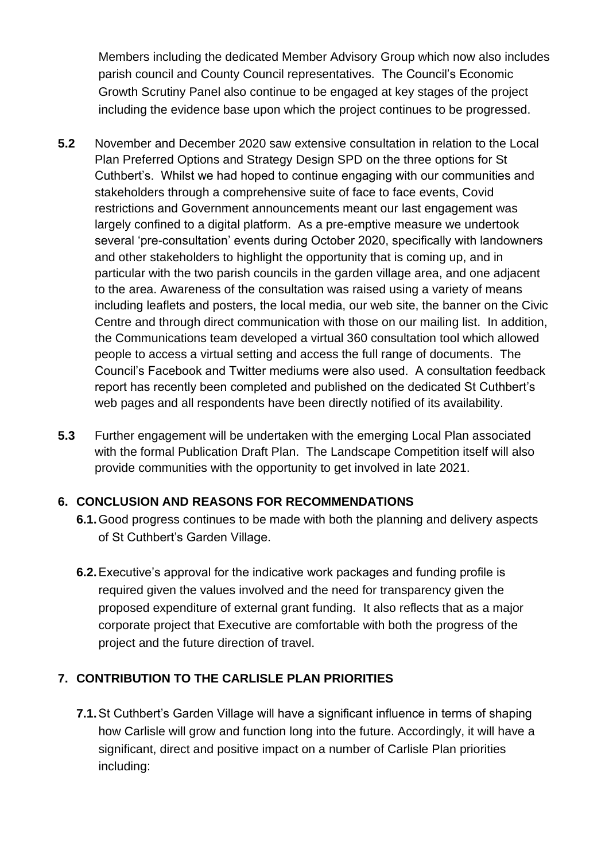Members including the dedicated Member Advisory Group which now also includes parish council and County Council representatives. The Council's Economic Growth Scrutiny Panel also continue to be engaged at key stages of the project including the evidence base upon which the project continues to be progressed.

- **5.2** November and December 2020 saw extensive consultation in relation to the Local Plan Preferred Options and Strategy Design SPD on the three options for St Cuthbert's. Whilst we had hoped to continue engaging with our communities and stakeholders through a comprehensive suite of face to face events, Covid restrictions and Government announcements meant our last engagement was largely confined to a digital platform. As a pre-emptive measure we undertook several 'pre-consultation' events during October 2020, specifically with landowners and other stakeholders to highlight the opportunity that is coming up, and in particular with the two parish councils in the garden village area, and one adjacent to the area. Awareness of the consultation was raised using a variety of means including leaflets and posters, the local media, our web site, the banner on the Civic Centre and through direct communication with those on our mailing list. In addition, the Communications team developed a virtual 360 consultation tool which allowed people to access a virtual setting and access the full range of documents. The Council's Facebook and Twitter mediums were also used. A consultation feedback report has recently been completed and published on the dedicated St Cuthbert's web pages and all respondents have been directly notified of its availability.
- **5.3** Further engagement will be undertaken with the emerging Local Plan associated with the formal Publication Draft Plan. The Landscape Competition itself will also provide communities with the opportunity to get involved in late 2021.

#### **6. CONCLUSION AND REASONS FOR RECOMMENDATIONS**

- **6.1.**Good progress continues to be made with both the planning and delivery aspects of St Cuthbert's Garden Village.
- **6.2.**Executive's approval for the indicative work packages and funding profile is required given the values involved and the need for transparency given the proposed expenditure of external grant funding. It also reflects that as a major corporate project that Executive are comfortable with both the progress of the project and the future direction of travel.

### **7. CONTRIBUTION TO THE CARLISLE PLAN PRIORITIES**

**7.1.**St Cuthbert's Garden Village will have a significant influence in terms of shaping how Carlisle will grow and function long into the future. Accordingly, it will have a significant, direct and positive impact on a number of Carlisle Plan priorities including: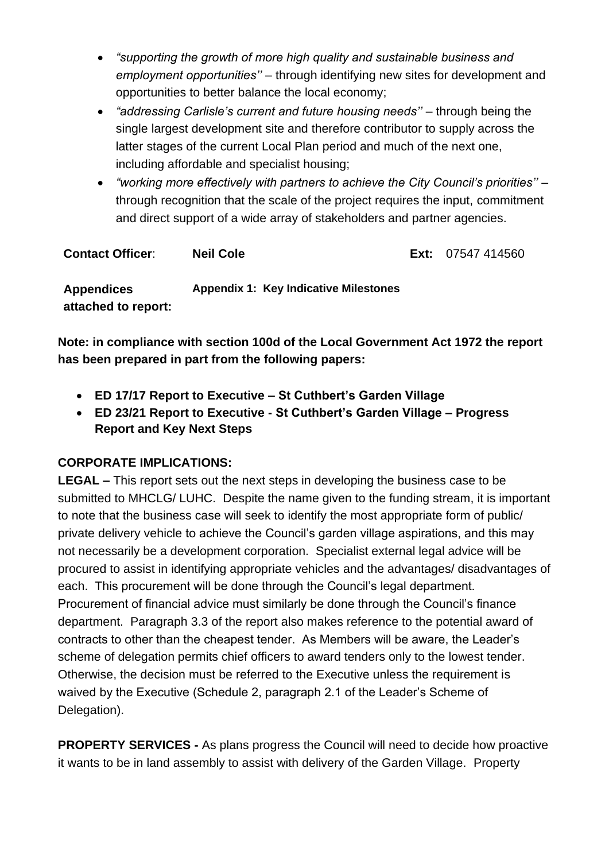- *"supporting the growth of more high quality and sustainable business and employment opportunities''* – through identifying new sites for development and opportunities to better balance the local economy;
- *"addressing Carlisle's current and future housing needs"* through being the single largest development site and therefore contributor to supply across the latter stages of the current Local Plan period and much of the next one, including affordable and specialist housing;
- *"working more effectively with partners to achieve the City Council's priorities''*  through recognition that the scale of the project requires the input, commitment and direct support of a wide array of stakeholders and partner agencies.

| <b>Contact Officer:</b>                  | <b>Neil Cole</b>                             | <b>Ext:</b> $07547414560$ |
|------------------------------------------|----------------------------------------------|---------------------------|
| <b>Appendices</b><br>attached to report: | <b>Appendix 1: Key Indicative Milestones</b> |                           |

**Note: in compliance with section 100d of the Local Government Act 1972 the report has been prepared in part from the following papers:**

- **ED 17/17 Report to Executive – St Cuthbert's Garden Village**
- **ED 23/21 Report to Executive - St Cuthbert's Garden Village – Progress Report and Key Next Steps**

### **CORPORATE IMPLICATIONS:**

**LEGAL –** This report sets out the next steps in developing the business case to be submitted to MHCLG/ LUHC. Despite the name given to the funding stream, it is important to note that the business case will seek to identify the most appropriate form of public/ private delivery vehicle to achieve the Council's garden village aspirations, and this may not necessarily be a development corporation. Specialist external legal advice will be procured to assist in identifying appropriate vehicles and the advantages/ disadvantages of each. This procurement will be done through the Council's legal department. Procurement of financial advice must similarly be done through the Council's finance department. Paragraph 3.3 of the report also makes reference to the potential award of contracts to other than the cheapest tender. As Members will be aware, the Leader's scheme of delegation permits chief officers to award tenders only to the lowest tender. Otherwise, the decision must be referred to the Executive unless the requirement is waived by the Executive (Schedule 2, paragraph 2.1 of the Leader's Scheme of Delegation).

**PROPERTY SERVICES -** As plans progress the Council will need to decide how proactive it wants to be in land assembly to assist with delivery of the Garden Village. Property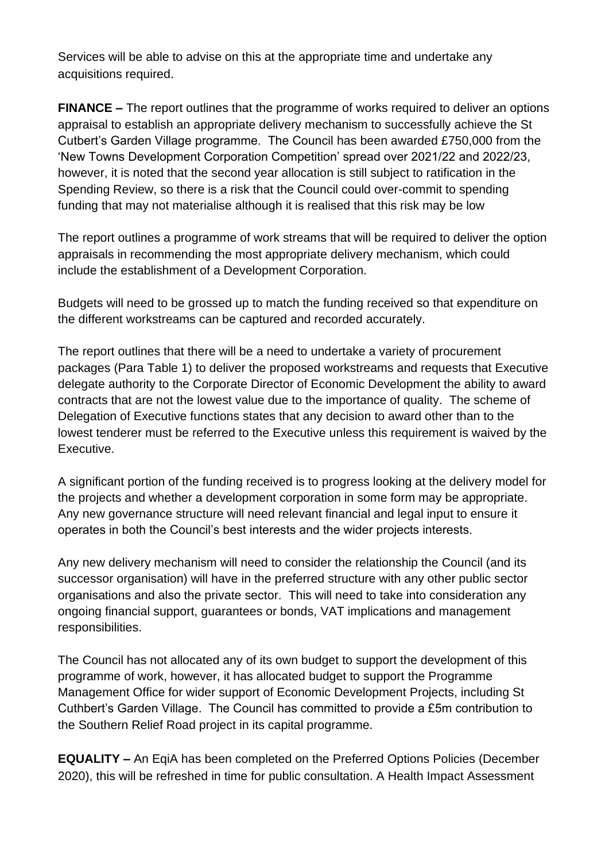Services will be able to advise on this at the appropriate time and undertake any acquisitions required.

**FINANCE –** The report outlines that the programme of works required to deliver an options appraisal to establish an appropriate delivery mechanism to successfully achieve the St Cutbert's Garden Village programme. The Council has been awarded £750,000 from the 'New Towns Development Corporation Competition' spread over 2021/22 and 2022/23, however, it is noted that the second year allocation is still subject to ratification in the Spending Review, so there is a risk that the Council could over-commit to spending funding that may not materialise although it is realised that this risk may be low

The report outlines a programme of work streams that will be required to deliver the option appraisals in recommending the most appropriate delivery mechanism, which could include the establishment of a Development Corporation.

Budgets will need to be grossed up to match the funding received so that expenditure on the different workstreams can be captured and recorded accurately.

The report outlines that there will be a need to undertake a variety of procurement packages (Para Table 1) to deliver the proposed workstreams and requests that Executive delegate authority to the Corporate Director of Economic Development the ability to award contracts that are not the lowest value due to the importance of quality. The scheme of Delegation of Executive functions states that any decision to award other than to the lowest tenderer must be referred to the Executive unless this requirement is waived by the Executive.

A significant portion of the funding received is to progress looking at the delivery model for the projects and whether a development corporation in some form may be appropriate. Any new governance structure will need relevant financial and legal input to ensure it operates in both the Council's best interests and the wider projects interests.

Any new delivery mechanism will need to consider the relationship the Council (and its successor organisation) will have in the preferred structure with any other public sector organisations and also the private sector. This will need to take into consideration any ongoing financial support, guarantees or bonds, VAT implications and management responsibilities.

The Council has not allocated any of its own budget to support the development of this programme of work, however, it has allocated budget to support the Programme Management Office for wider support of Economic Development Projects, including St Cuthbert's Garden Village. The Council has committed to provide a £5m contribution to the Southern Relief Road project in its capital programme.

**EQUALITY –** An EqiA has been completed on the Preferred Options Policies (December 2020), this will be refreshed in time for public consultation. A Health Impact Assessment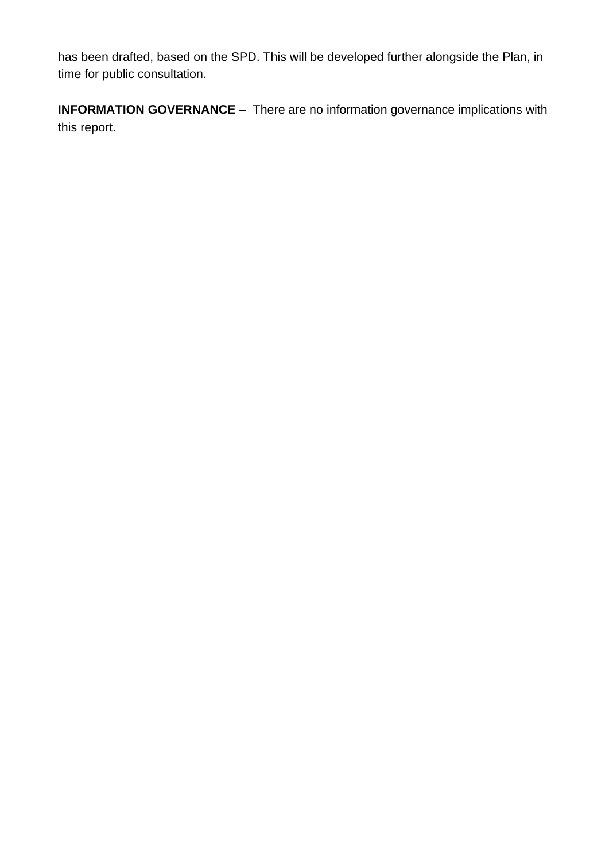has been drafted, based on the SPD. This will be developed further alongside the Plan, in time for public consultation.

**INFORMATION GOVERNANCE -** There are no information governance implications with this report.